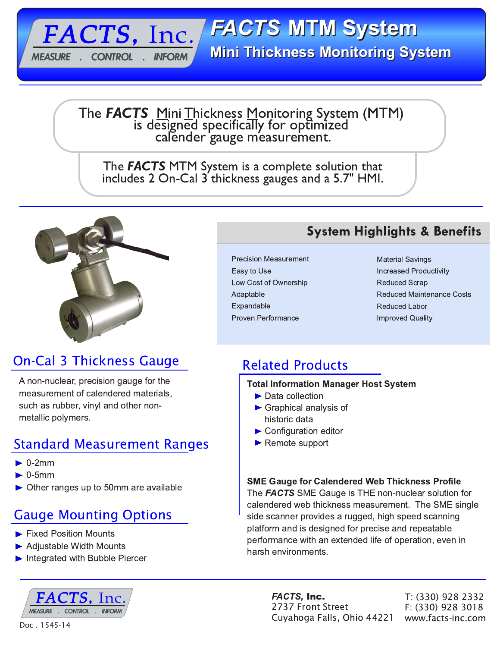**FACTS MTM System Mini Thickness Monitoring System** 

The **FACTS** Mini Thickness Monitoring System (MTM) is designed specifically for optimized<br>calender gauge measurement.

The **FACTS** MTM System is a complete solution that includes 2 On-Cal 3 thickness gauges and a 5.7" HMI.



FACTS, Inc.

**INFORM** 

**CONTROL** 

**MEASURE** 

# **On-Cal 3 Thickness Gauge**

A non-nuclear, precision gauge for the measurement of calendered materials, such as rubber, vinyl and other nonmetallic polymers.

## **Standard Measurement Ranges**

- $\triangleright$  0-2mm
- $\triangleright$  0-5mm
- $\triangleright$  Other ranges up to 50mm are available

# **Gauge Mounting Options**

- Fixed Position Mounts
- Adjustable Width Mounts
- Integrated with Bubble Piercer



## **System Highlights & Benefits**

**Precision Measurement** Easy to Use Low Cost of Ownership Adaptable Expandable Proven Performance

**Material Savings Increased Productivity Reduced Scrap Reduced Maintenance Costs Reduced Labor Improved Quality** 

# **Related Products**

#### **Total Information Manager Host System**

- $\blacktriangleright$  Data collection
- $\triangleright$  Graphical analysis of historic data
- $\triangleright$  Configuration editor
- $\blacktriangleright$  Remote support

### **SME Gauge for Calendered Web Thickness Profile**

The **FACTS** SME Gauge is THE non-nuclear solution for calendered web thickness measurement. The SME single side scanner provides a rugged, high speed scanning platform and is designed for precise and repeatable performance with an extended life of operation, even in harsh environments.

> FACTS, Inc. 2737 Front Street Cuyahoga Falls, Ohio 44221

T: (330) 928 2332 F: (330) 928 3018 www.facts-inc.com

Doc. 1545-14